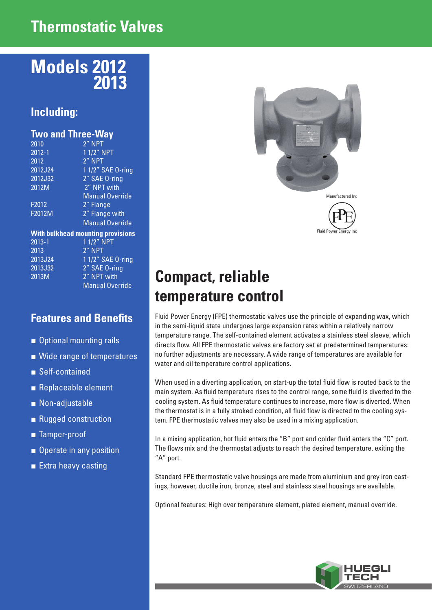## **Thermostatic Valves**

# **Models 2012 2013**

### **Including:**

|  | <b>Two and Three-Way</b> |  |
|--|--------------------------|--|
|  |                          |  |

| 2010       | 2" NPT                                   |
|------------|------------------------------------------|
| $2012 - 1$ | 1 1/2" NPT                               |
| 2012       | 2" NPT                                   |
| 2012J24    | 1 1/2" SAE 0-ring                        |
| 2012J32    | 2" SAE 0-ring                            |
| 2012M      | 2" NPT with                              |
|            | <b>Manual Override</b>                   |
| F2012      | 2" Flange                                |
| F2012M     | 2" Flange with                           |
|            | <b>Manual Override</b>                   |
|            | <b>With bulkhead mounting provisions</b> |
| $2013 - 1$ | 1 1/2" NPT                               |
| 2013       | 2" NPT                                   |
| 2013J24    | 1 1/2" SAE 0-ring                        |
| 2013J32    | 2" SAE 0-ring                            |
| 2013M      | 2" NPT with                              |
|            | <b>Manual Override</b>                   |
|            |                                          |

#### **Features and Benefits**

- Optional mounting rails
- Wide range of temperatures
- Self-contained
- Replaceable element
- Non-adjustable
- Rugged construction
- Tamper-proof
- Operate in any position
- Extra heavy casting





# **Compact, reliable temperature control**

Fluid Power Energy (FPE) thermostatic valves use the principle of expanding wax, which in the semi-liquid state undergoes large expansion rates within a relatively narrow temperature range. The self-contained element activates a stainless steel sleeve, which directs flow. All FPE thermostatic valves are factory set at predetermined temperatures: no further adjustments are necessary. A wide range of temperatures are available for water and oil temperature control applications.

When used in a diverting application, on start-up the total fluid flow is routed back to the main system. As fluid temperature rises to the control range, some fluid is diverted to the cooling system. As fluid temperature continues to increase, more flow is diverted. When the thermostat is in a fully stroked condition, all fluid flow is directed to the cooling system. FPE thermostatic valves may also be used in a mixing application.

In a mixing application, hot fluid enters the "B" port and colder fluid enters the "C" port. The flows mix and the thermostat adjusts to reach the desired temperature, exiting the "A" port.

Standard FPE thermostatic valve housings are made from aluminium and grey iron castings, however, ductile iron, bronze, steel and stainless steel housings are available.

Optional features: High over temperature element, plated element, manual override.

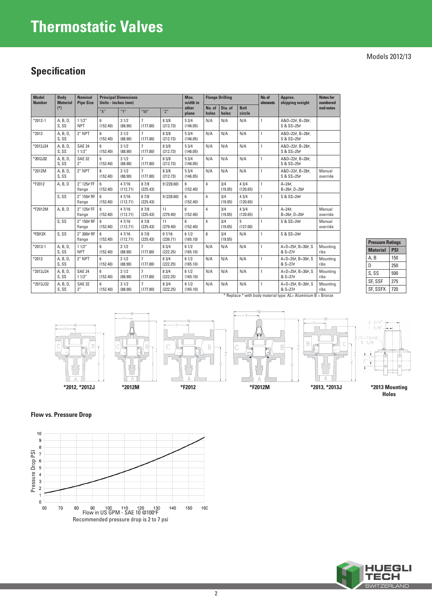# **Thermostatic Valves**

#### **Specification**

| <b>Model</b><br><b>Body</b><br><b>Number</b><br><b>Material</b> |                   | <b>Nominal</b><br><b>Pipe Size</b> | <b>Principal Dimensions</b><br>Units - inches (mm) |                   |                            | Max.<br>width in  | <b>Flange Drilling</b> |                 | No. of<br>elements | Approx.<br>shipping weight | <b>Notes for</b><br>numbered |                                                                                                    |                    |
|-----------------------------------------------------------------|-------------------|------------------------------------|----------------------------------------------------|-------------------|----------------------------|-------------------|------------------------|-----------------|--------------------|----------------------------|------------------------------|----------------------------------------------------------------------------------------------------|--------------------|
|                                                                 | $(*)$             |                                    | "Х"                                                | "Y"               | " $W$ "                    | "Z"               | other<br>plane         | No. of<br>holes | Dia. of<br>holes   | <b>Bolt</b><br>circle      |                              |                                                                                                    | end notes          |
| $*2012 - 1$                                                     | A, B, D,<br>S, SS | 11/2"<br><b>NPT</b>                | 6<br>(152.40)                                      | 31/2<br>(88.90)   | $\overline{7}$<br>(177.80) | 8 3/8<br>(212.73) | 53/4<br>(146.05)       | N/A             | N/A                | N/A                        | $\mathbf{1}$                 | $A&D=22#$ , $B=28#$ ,<br>$S & S = 25#$                                                             |                    |
| *2012                                                           | A, B, D,<br>S, SS | 2" NPT                             | 6<br>(152.40)                                      | 31/2<br>(88.90)   | $\overline{7}$<br>(177.80) | 83/8<br>(212.73)  | 53/4<br>(146.05)       | N/A             | N/A                | N/A                        | $\mathbf{1}$                 | $A&D=22#$ , $B=28#$ ,<br>S & SS=25#                                                                |                    |
| *2012J24                                                        | A, B, D,<br>S, SS | <b>SAE 24</b><br>11/2"             | 6<br>(152.40)                                      | 31/2<br>(88.90)   | $\overline{7}$<br>(177.80) | 83/8<br>(212.73)  | 53/4<br>(146.05)       | N/A             | N/A                | N/A                        | $\mathbf{1}$                 | $A&D=22#$ , $B=28#$ ,<br>S & SS=25#                                                                |                    |
| *2012J32                                                        | A, B, D,<br>S, SS | <b>SAE 32</b><br>2"                | 6<br>(152.40)                                      | 31/2<br>(88.90)   | $\overline{7}$<br>(177.80) | 8 3/8<br>(212.73) | 53/4<br>(146.05)       | N/A             | N/A                | N/A                        | $\mathbf{1}$                 | $A&D=22#$ , $B=28#$ ,<br>S & SS=25#                                                                |                    |
| *2012M                                                          | A, B, D,<br>S, SS | 2" NPT                             | 6<br>(152.40)                                      | 31/2<br>(88.90)   | $\overline{7}$<br>(177.80) | 8 3/8<br>(212.73) | 53/4<br>(146.05)       | N/A             | N/A                | N/A                        | $\mathbf{1}$                 | $A&D=22#$ , $B=28#$ ,<br>$S & S = 25#$                                                             | Manual<br>override |
| *F2012                                                          | A, B, D           | 2" 125# FF<br>flange               | 6<br>(152.40)                                      | 47/16<br>(112.71) | 87/8<br>(225.43)           | 9(228.60)         | 6<br>(152.40)          | 4               | 3/4<br>(19.05)     | 43/4<br>(120.65)           | $\mathbf{1}$                 | $A = 24.4$<br>$B=26$ #. $D=20$ #                                                                   |                    |
|                                                                 | S, SS             | 2" 150# RF<br>flange               | 6<br>(152.40)                                      | 47/16<br>(112.71) | 87/8<br>(225.43)           | 9(228.60)         | 6<br>(152.40)          | 4               | 3/4<br>(19.05)     | 43/4<br>(120.65)           | $\mathbf{1}$                 | $S & S = 24#$                                                                                      |                    |
| *F2012M                                                         | A, B, D           | 2" 125# FF<br>flange               | 6<br>(152.40)                                      | 47/16<br>(112.71) | 87/8<br>(225.43)           | 11<br>(279.40)    | 6<br>(152.40)          | 4               | 3/4<br>(19.05)     | 43/4<br>(120.65)           | $\mathbf{1}$                 | $A = 24.4$<br>$B=26$ #. $D=20$ #                                                                   | Manual<br>override |
|                                                                 | S, SS             | 2" 150# RF<br>flange               | 6<br>(152.40)                                      | 47/16<br>(112.71) | 87/8<br>(225.43)           | 11<br>(279.40)    | 6<br>(152.40)          | 4               | 3/4<br>(19.05)     | 5<br>(127.00)              | $\mathbf{1}$                 | S & SS=24#                                                                                         | Manual<br>override |
| *F2012X                                                         | S.SS              | 2" 300# RF<br>flange               | 6<br>(152.40)                                      | 47/16<br>(112.71) | 87/8<br>(225.43)           | 97/16<br>(239.71) | 61/2<br>(165.10)       | 8               | 3/4<br>(19.05)     | N/A                        | $\mathbf{1}$                 | $S & S = 24#$                                                                                      |                    |
| $*2013-1$                                                       | A, B, D,<br>S, SS | 11/2"<br><b>NPT</b>                | 6<br>(152.40)                                      | 31/2<br>(88.90)   | $\overline{7}$<br>(177.80) | 83/4<br>(222.25)  | 61/2<br>(165.10)       | N/A             | N/A                | N/A                        | $\mathbf{1}$                 | $A+D=25#$ , B=30#, S<br>$& S=27#$                                                                  | Mountina<br>ribs   |
| *2013                                                           | A, B, D,<br>S, SS | 2" NPT                             | 6<br>(152.40)                                      | 31/2<br>(88.90)   | $\overline{7}$<br>(177.80) | 83/4<br>(222.25)  | 61/2<br>(165.10)       | N/A             | N/A                | N/A                        | $\mathbf{1}$                 | $A+D=25#$ , B=30#, S<br>$& S=27#$                                                                  | Mounting<br>ribs   |
| *2013J24                                                        | A, B, D,<br>S, SS | <b>SAE 24</b><br>11/2"             | 6<br>(152.40)                                      | 31/2<br>(88.90)   | $\overline{7}$<br>(177.80) | 8 3/4<br>(222.25) | 61/2<br>(165.10)       | N/A             | N/A                | N/A                        | $\mathbf{1}$                 | $A+D=25#$ , B=30#, S<br>$& S=27#$                                                                  | Mounting<br>ribs   |
| *2013J32                                                        | A, B, D,<br>S, SS | <b>SAE 32</b><br>2"                | 6<br>(152.40)                                      | 31/2<br>(88.90)   | $\overline{7}$<br>(177.80) | 83/4<br>(222.25)  | 61/2<br>(165.10)       | N/A             | N/A                | N/A                        | $\mathbf{1}$                 | $A+D=25#$ , B=30#, S<br>$& S=27#$<br>* Replace * with body material type: AL= Aluminium B = Bronze | Mounting<br>ribs   |

| <b>Pressure Ratings</b> |            |  |  |
|-------------------------|------------|--|--|
| <b>Material</b>         | <b>PSI</b> |  |  |
| A, B                    | 150        |  |  |
| Ŋ                       | 250        |  |  |
| S, SS                   | 500        |  |  |
| SF. SSF                 | 275        |  |  |
| <b>SF. SSFX</b>         | 720        |  |  |









 $3/4$  $3/8$  $5/8$ 

**Holes**

**Flow vs. Pressure Drop**